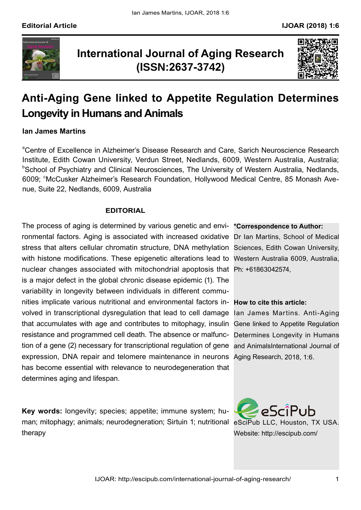

## **International Journal of Aging Research (ISSN:2637-3742)**



# **Anti-Aging Gene linked to Appetite Regulation Determines Longevity in Humans and Animals**

### **Ian James Martins**

<sup>a</sup>Centre of Excellence in Alzheimer's Disease Research and Care, Sarich Neuroscience Research Institute, Edith Cowan University, Verdun Street, Nedlands, 6009, Western Australia, Australia; b School of Psychiatry and Clinical Neurosciences, The University of Western Australia, Nedlands, 6009; <sup>c</sup>McCusker Alzheimer's Research Foundation, Hollywood Medical Centre, 85 Monash Avenue, Suite 22, Nedlands, 6009, Australia

### **EDITORIAL**

The process of aging is determined by various genetic and envi- \*Correspondence to Author: ronmental factors. Aging is associated with increased oxidative Dr Ian Martins, School of Medical stress that alters cellular chromatin structure, DNA methylation Sciences, Edith Cowan University, with histone modifications. These epigenetic alterations lead to Western Australia 6009, Australia, nuclear changes associated with mitochondrial apoptosis that Ph: +61863042574, nities implicate various nutritional and environmental factors in- **How to cite this article:** volved in transcriptional dysregulation that lead to cell damage lan James Martins. Anti-Aging that accumulates with age and contributes to mitophagy, insulin Gene linked to Appetite Regulation resistance and programmed cell death. The absence or malfunc- Determines Longevity in Humans tion of a gene (2) necessary for transcriptional regulation of gene and AnimalsInternational Journal of expression, DNA repair and telomere maintenance in neurons Aging Research, 2018, 1:6. is a major defect in the global chronic disease epidemic (1). The variability in longevity between individuals in different commuhas become essential with relevance to neurodegeneration that determines aging and lifespan.

man; mitophagy; animals; neurodegneration; Sirtuin 1; nutritional eSciPub LLC, Houston, TX USA. **Key words:** longevity; species; appetite; immune system; hutherapy

Website: http://escipub.com/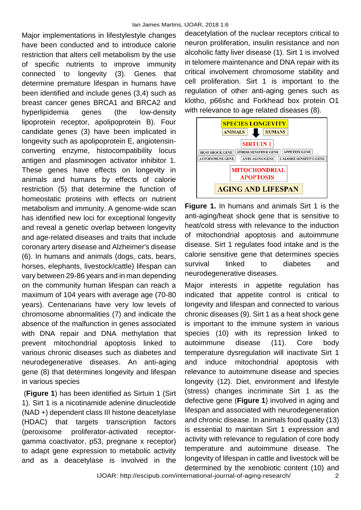Major implementations in lifestylestyle changes have been conducted and to introduce calorie restriction that alters cell metabolism by the use of specific nutrients to improve immunity connected to longevity (3). Genes that determine premature lifespan in humans have been identified and include genes (3,4) such as breast cancer genes BRCA1 and BRCA2 and hyperlipidemia genes (the low-density lipoprotein receptor, apolipoprotein B). Four candidate genes (3) have been implicated in longevity such as apolipoprotein E, angiotensinconverting enzyme, histocompatibility locus antigen and plasminogen activator inhibitor 1. These genes have effects on longevity in animals and humans by effects of calorie restriction (5) that determine the function of homeostatic proteins with effects on nutrient metabolism and immunity. A genome-wide scan has identified new loci for exceptional longevity and reveal a genetic overlap between longevity and age-related diseases and traits that include coronary artery disease and Alzheimer's disease (6). In humans and animals (dogs, cats, bears, horses, elephants, livestock/cattle) lifespan can vary between 29-86 years and in man depending on the community human lifespan can reach a maximum of 104 years with average age (70-80 years). Centenarians have very low levels of chromosome abnormalities (7) and indicate the absence of the malfunction in genes associated with DNA repair and DNA methylation that prevent mitochondrial apoptosis linked to various chronic diseases such as diabetes and neurodegenerative diseases. An anti-aging gene (8) that determines longevity and lifespan in various species

(**Figure 1**) has been identified as Sirtuin 1 (Sirt 1). Sirt 1 is a nicotinamide adenine dinucleotide (NAD +) dependent class III histone deacetylase (HDAC) that targets transcription factors (peroxisome proliferator-activated receptorgamma coactivator, p53, pregnane x receptor) to adapt gene expression to metabolic activity and as a deacetylase is involved in the

deacetylation of the nuclear receptors critical to neuron proliferation, insulin resistance and non alcoholic fatty liver disease (1). Sirt 1 is involved in telomere maintenance and DNA repair with its critical involvement chromosome stability and cell proliferation. Sirt 1 is important to the regulation of other anti-aging genes such as klotho, p66shc and Forkhead box protein O1 with relevance to age related diseases (8).



**Figure 1.** In humans and animals Sirt 1 is the anti-aging/heat shock gene that is sensitive to heat/cold stress with relevance to the induction of mitochondrial apoptosis and autoimmune disease. Sirt 1 regulates food intake and is the calorie sensitive gene that determines species survival linked to diabetes and neurodegenerative diseases.

Major interests in appetite regulation has indicated that appetite control is critical to longevity and lifespan and connected to various chronic diseases (9). Sirt 1 as a heat shock gene is important to the immune system in various species (10) with its repression linked to autoimmune disease (11). Core body temperature dysregulation will inactivate Sirt 1 and induce mitochondrial apoptosis with relevance to autoimmune disease and species longevity (12). Diet, environment and lifestyle (stress) changes incriminate Sirt 1 as the defective gene (**Figure 1**) involved in aging and lifespan and associated with neurodegeneration and chronic disease. In animals food quality (13) is essential to maintain Sirt 1 expression and activity with relevance to regulation of core body temperature and autoimmune disease. The longevity of lifespan in cattle and livestock will be determined by the xenobiotic content (10) and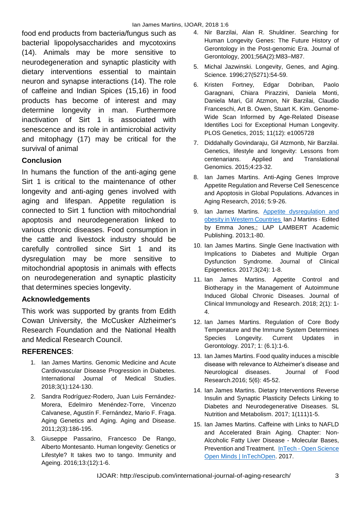food end products from bacteria/fungus such as bacterial lipopolysaccharides and mycotoxins (14). Animals may be more sensitive to neurodegeneration and synaptic plasticity with dietary interventions essential to maintain neuron and synapse interactions (14). The role of caffeine and Indian Spices (15,16) in food products has become of interest and may determine longevity in man. Furthermore inactivation of Sirt 1 is associated with senescence and its role in antimicrobial activity and mitophagy (17) may be critical for the survival of animal

## **Conclusion**

In humans the function of the anti-aging gene Sirt 1 is critical to the maintenance of other longevity and anti-aging genes involved with aging and lifespan. Appetite regulation is connected to Sirt 1 function with mitochondrial apoptosis and neurodegeneration linked to various chronic diseases. Food consumption in the cattle and livestock industry should be carefully controlled since Sirt 1 and its dysregulation may be more sensitive to mitochondrial apoptosis in animals with effects on neurodegeneration and synaptic plasticity that determines species longevity.

### **Acknowledgements**

This work was supported by grants from Edith Cowan University, the McCusker Alzheimer's Research Foundation and the National Health and Medical Research Council.

### **REFERENCES**:

- 1. Ian James Martins. Genomic Medicine and Acute Cardiovascular Disease Progression in Diabetes. International Journal of Medical Studies. 2018;3(1):124-130.
- 2. Sandra Rodríguez-Rodero, Juan Luis Fernández-Morera, Edelmiro Menéndez-Torre, Vincenzo Calvanese, Agustín F. Fernández, Mario F. Fraga. Aging Genetics and Aging. Aging and Disease. 2011;2(3):186-195.
- 3. Giuseppe Passarino, Francesco De Rango, Alberto Montesanto. Human longevity: Genetics or Lifestyle? It takes two to tango. [Immunity and](https://www.ncbi.nlm.nih.gov/pubmed/27053941)  [Ageing.](https://www.ncbi.nlm.nih.gov/pubmed/27053941) 2016;13:(12):1-6.
- 4. Nir Barzilai, Alan R. Shuldiner. Searching for Human Longevity Genes: The Future History of Gerontology in the Post-genomic Era. Journal of Gerontology, 2001;56A(2):M83–M87.
- 5. Michal Jazwinski. Longevity, Genes, and Aging. Science*.* 1996;27(5271):54-59.
- 6. Kristen Fortney, Edgar Dobriban, Paolo Garagnani, Chiara Pirazzini, Daniela Monti, Daniela Mari, Gil Atzmon, Nir Barzilai, Claudio Franceschi, Art B. Owen, Stuart K. Kim. Genome-Wide Scan Informed by Age-Related Disease Identifies Loci for Exceptional Human Longevity. PLOS Genetics, 2015; 11(12): e1005728
- 7. Diddahally Govindaraju, Gil Atzmonb, Nir Barzilai. Genetics, lifestyle and longevity: Lessons from centenarians. Applied and Translational Genomics. 2015;4:23-32.
- 8. Ian James Martins. Anti-Aging Genes Improve Appetite Regulation and Reverse Cell Senescence and Apoptosis in Global Populations. Advances in Aging Research, 2016; 5:9-26.
- 9. Ian James Martins. [Appetite dysregulation and](https://www.researchgate.net/publication/275585083_Appetite_dysregulation_and_obesity_in_Western_Countries?ev=prf_pub)  [obesity in Western Countries I](https://www.researchgate.net/publication/275585083_Appetite_dysregulation_and_obesity_in_Western_Countries?ev=prf_pub)an J Martins · Edited by Emma Jones,; LAP LAMBERT Academic Publishing. 2013;1-80.
- 10. Ian James Martins. Single Gene Inactivation with Implications to Diabetes and Multiple Organ Dysfunction Syndrome. Journal of Clinical Epigenetics. 2017;3(24): 1-8.
- 11. Ian James Martins. Appetite Control and Biotherapy in the Management of Autoimmune Induced Global Chronic Diseases. Journal of Clinical Immunology and Research. 2018; 2(1): 1- 4.
- 12. Ian James Martins. Regulation of Core Body Temperature and the Immune System Determines Species Longevity. Current Updates in Gerontology. 2017; 1: (6.1):1-6.
- 13. Ian James Martins. Food quality induces a miscible disease with relevance to Alzheimer's disease and Neurological diseases. Journal of Food Research.2016; 5(6): 45-52.
- 14. Ian James Martins. Dietary Interventions Reverse Insulin and Synaptic Plasticity Defects Linking to Diabetes and Neurodegenerative Diseases. SL Nutrition and Metabolism. 2017; 1(111)1-5.
- 15. Ian James Martins. Caffeine with Links to NAFLD and Accelerated Brain Aging. Chapter: Non-Alcoholic Fatty Liver Disease - Molecular Bases, Prevention and Treatment. InTech - [Open Science](http://www.intechopen.com/)  [Open Minds | InTechOpen.](http://www.intechopen.com/) 2017.